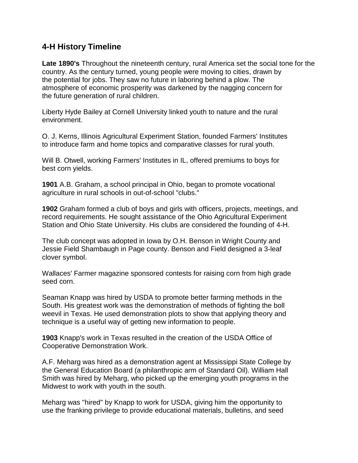## **4-H History Timeline**

**Late 1890's** Throughout the nineteenth century, rural America set the social tone for the country. As the century turned, young people were moving to cities, drawn by the potential for jobs. They saw no future in laboring behind a plow. The atmosphere of economic prosperity was darkened by the nagging concern for the future generation of rural children.

Liberty Hyde Bailey at Cornell University linked youth to nature and the rural environment.

O. J. Kerns, Illinois Agricultural Experiment Station, founded Farmers' Institutes to introduce farm and home topics and comparative classes for rural youth.

Will B. Otwell, working Farmers' Institutes in IL, offered premiums to boys for best corn yields.

**1901** A.B. Graham, a school principal in Ohio, began to promote vocational agriculture in rural schools in out-of-school "clubs."

**1902** Graham formed a club of boys and girls with officers, projects, meetings, and record requirements. He sought assistance of the Ohio Agricultural Experiment Station and Ohio State University. His clubs are considered the founding of 4-H.

The club concept was adopted in Iowa by O.H. Benson in Wright County and Jessie Field Shambaugh in Page county. Benson and Field designed a 3-leaf clover symbol.

Wallaces' Farmer magazine sponsored contests for raising corn from high grade seed corn.

Seaman Knapp was hired by USDA to promote better farming methods in the South. His greatest work was the demonstration of methods of fighting the boll weevil in Texas. He used demonstration plots to show that applying theory and technique is a useful way of getting new information to people.

**1903** Knapp's work in Texas resulted in the creation of the USDA Office of Cooperative Demonstration Work.

A.F. Meharg was hired as a demonstration agent at Mississippi State College by the General Education Board (a philanthropic arm of Standard Oil). William Hall Smith was hired by Meharg, who picked up the emerging youth programs in the Midwest to work with youth in the south.

Meharg was "hired" by Knapp to work for USDA, giving him the opportunity to use the franking privilege to provide educational materials, bulletins, and seed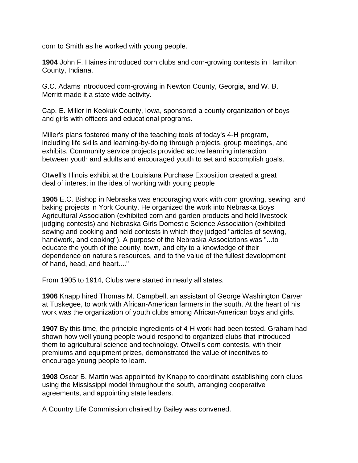corn to Smith as he worked with young people.

**1904** John F. Haines introduced corn clubs and corn-growing contests in Hamilton County, Indiana.

G.C. Adams introduced corn-growing in Newton County, Georgia, and W. B. Merritt made it a state wide activity.

Cap. E. Miller in Keokuk County, Iowa, sponsored a county organization of boys and girls with officers and educational programs.

Miller's plans fostered many of the teaching tools of today's 4-H program, including life skills and learning-by-doing through projects, group meetings, and exhibits. Community service projects provided active learning interaction between youth and adults and encouraged youth to set and accomplish goals.

Otwell's Illinois exhibit at the Louisiana Purchase Exposition created a great deal of interest in the idea of working with young people

**1905** E.C. Bishop in Nebraska was encouraging work with corn growing, sewing, and baking projects in York County. He organized the work into Nebraska Boys Agricultural Association (exhibited corn and garden products and held livestock judging contests) and Nebraska Girls Domestic Science Association (exhibited sewing and cooking and held contests in which they judged "articles of sewing, handwork, and cooking"). A purpose of the Nebraska Associations was "...to educate the youth of the county, town, and city to a knowledge of their dependence on nature's resources, and to the value of the fullest development of hand, head, and heart...."

From 1905 to 1914, Clubs were started in nearly all states.

**1906** Knapp hired Thomas M. Campbell, an assistant of George Washington Carver at Tuskegee, to work with African-American farmers in the south. At the heart of his work was the organization of youth clubs among African-American boys and girls.

**1907** By this time, the principle ingredients of 4-H work had been tested. Graham had shown how well young people would respond to organized clubs that introduced them to agricultural science and technology. Otwell's corn contests, with their premiums and equipment prizes, demonstrated the value of incentives to encourage young people to learn.

**1908** Oscar B. Martin was appointed by Knapp to coordinate establishing corn clubs using the Mississippi model throughout the south, arranging cooperative agreements, and appointing state leaders.

A Country Life Commission chaired by Bailey was convened.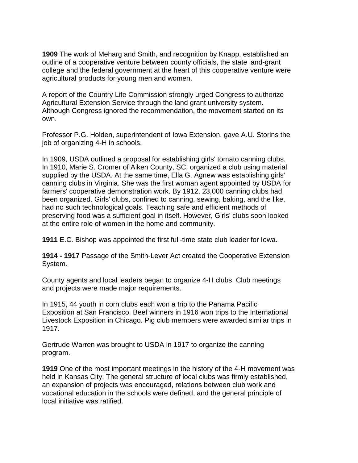**1909** The work of Meharg and Smith, and recognition by Knapp, established an outline of a cooperative venture between county officials, the state land-grant college and the federal government at the heart of this cooperative venture were agricultural products for young men and women.

A report of the Country Life Commission strongly urged Congress to authorize Agricultural Extension Service through the land grant university system. Although Congress ignored the recommendation, the movement started on its own.

Professor P.G. Holden, superintendent of Iowa Extension, gave A.U. Storins the job of organizing 4-H in schools.

In 1909, USDA outlined a proposal for establishing girls' tomato canning clubs. In 1910, Marie S. Cromer of Aiken County, SC, organized a club using material supplied by the USDA. At the same time, Ella G. Agnew was establishing girls' canning clubs in Virginia. She was the first woman agent appointed by USDA for farmers' cooperative demonstration work. By 1912, 23,000 canning clubs had been organized. Girls' clubs, confined to canning, sewing, baking, and the like, had no such technological goals. Teaching safe and efficient methods of preserving food was a sufficient goal in itself. However, Girls' clubs soon looked at the entire role of women in the home and community.

**1911** E.C. Bishop was appointed the first full-time state club leader for Iowa.

**1914 - 1917** Passage of the Smith-Lever Act created the Cooperative Extension System.

County agents and local leaders began to organize 4-H clubs. Club meetings and projects were made major requirements.

In 1915, 44 youth in corn clubs each won a trip to the Panama Pacific Exposition at San Francisco. Beef winners in 1916 won trips to the International Livestock Exposition in Chicago. Pig club members were awarded similar trips in 1917.

Gertrude Warren was brought to USDA in 1917 to organize the canning program.

**1919** One of the most important meetings in the history of the 4-H movement was held in Kansas City. The general structure of local clubs was firmly established, an expansion of projects was encouraged, relations between club work and vocational education in the schools were defined, and the general principle of local initiative was ratified.